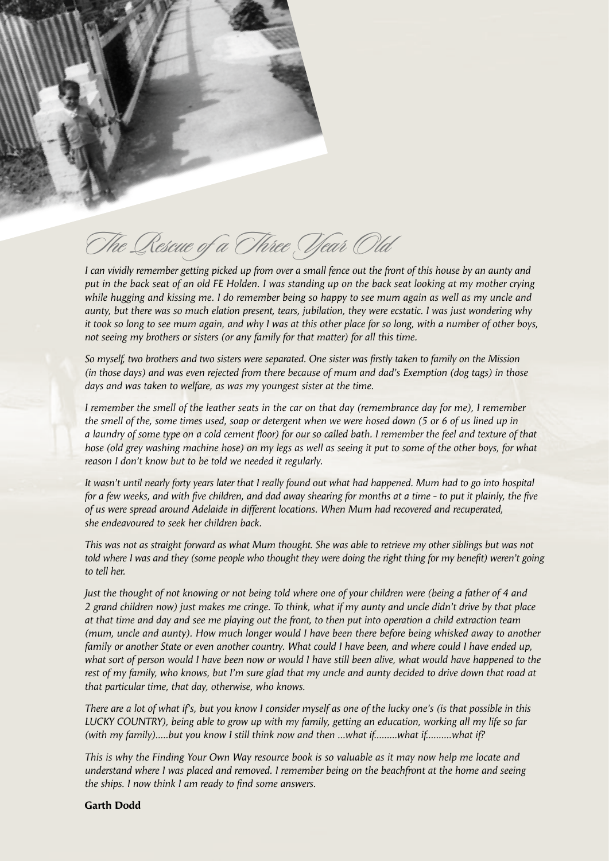

# The Rescue of a Three Year Old

*I can vividly remember getting picked up from over a small fence out the front of this house by an aunty and put in the back seat of an old FE Holden. I was standing up on the back seat looking at my mother crying while hugging and kissing me. I do remember being so happy to see mum again as well as my uncle and aunty, but there was so much elation present, tears, jubilation, they were ecstatic. I was just wondering why it took so long to see mum again, and why I was at this other place for so long, with a number of other boys, not seeing my brothers or sisters (or any family for that matter) for all this time.*

*So myself, two brothers and two sisters were separated. One sister was firstly taken to family on the Mission (in those days) and was even rejected from there because of mum and dad's Exemption (dog tags) in those days and was taken to welfare, as was my youngest sister at the time.*

*I remember the smell of the leather seats in the car on that day (remembrance day for me), I remember the smell of the, some times used, soap or detergent when we were hosed down (5 or 6 of us lined up in a laundry of some type on a cold cement floor) for our so called bath. I remember the feel and texture of that hose (old grey washing machine hose) on my legs as well as seeing it put to some of the other boys, for what reason I don't know but to be told we needed it regularly.*

*It wasn't until nearly forty years later that I really found out what had happened. Mum had to go into hospital for a few weeks, and with five children, and dad away shearing for months at a time - to put it plainly, the five of us were spread around Adelaide in different locations. When Mum had recovered and recuperated, she endeavoured to seek her children back.*

*This was not as straight forward as what Mum thought. She was able to retrieve my other siblings but was not*  told where I was and they (some people who thought they were doing the right thing for my benefit) weren't going *to tell her.*

*Just the thought of not knowing or not being told where one of your children were (being a father of 4 and 2 grand children now) just makes me cringe. To think, what if my aunty and uncle didn't drive by that place at that time and day and see me playing out the front, to then put into operation a child extraction team (mum, uncle and aunty). How much longer would I have been there before being whisked away to another family or another State or even another country. What could I have been, and where could I have ended up, what sort of person would I have been now or would I have still been alive, what would have happened to the rest of my family, who knows, but I'm sure glad that my uncle and aunty decided to drive down that road at that particular time, that day, otherwise, who knows.*

*There are a lot of what if's, but you know I consider myself as one of the lucky one's (is that possible in this LUCKY COUNTRY), being able to grow up with my family, getting an education, working all my life so far (with my family).....but you know I still think now and then ...what if.........what if..........what if?*

*This is why the Finding Your Own Way resource book is so valuable as it may now help me locate and understand where I was placed and removed. I remember being on the beachfront at the home and seeing the ships. I now think I am ready to find some answers.* 

**Garth Dodd**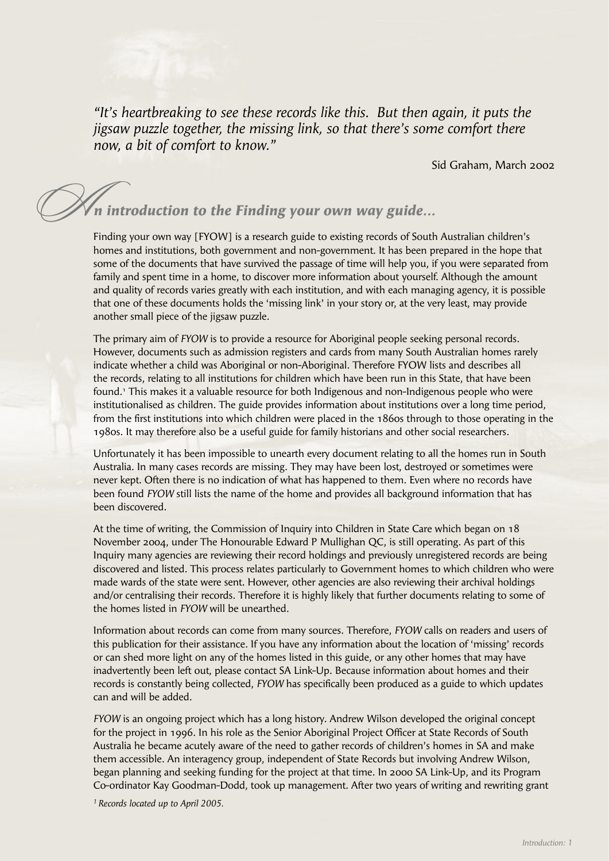*"It's heartbreaking to see these records like this. But then again, it puts the jigsaw puzzle together, the missing link, so that there's some comfort there now, a bit of comfort to know."*

Sid Graham, March 2002

## *n introduction to the Finding your own way guide...*

Finding your own way [FYOW] is a research guide to existing records of South Australian children's homes and institutions, both government and non-government. It has been prepared in the hope that some of the documents that have survived the passage of time will help you, if you were separated from family and spent time in a home, to discover more information about yourself. Although the amount and quality of records varies greatly with each institution, and with each managing agency, it is possible that one of these documents holds the 'missing link' in your story or, at the very least, may provide another small piece of the jigsaw puzzle.

The primary aim of *FYOW* is to provide a resource for Aboriginal people seeking personal records. However, documents such as admission registers and cards from many South Australian homes rarely indicate whether a child was Aboriginal or non-Aboriginal. Therefore FYOW lists and describes all the records, relating to all institutions for children which have been run in this State, that have been found.1 This makes it a valuable resource for both Indigenous and non-Indigenous people who were institutionalised as children. The guide provides information about institutions over a long time period, from the first institutions into which children were placed in the 1860s through to those operating in the 1980s. It may therefore also be a useful guide for family historians and other social researchers.

Unfortunately it has been impossible to unearth every document relating to all the homes run in South Australia. In many cases records are missing. They may have been lost, destroyed or sometimes were never kept. Often there is no indication of what has happened to them. Even where no records have been found *FYOW* still lists the name of the home and provides all background information that has been discovered.

At the time of writing, the Commission of Inquiry into Children in State Care which began on 18 November 2004, under The Honourable Edward P Mullighan QC, is still operating. As part of this Inquiry many agencies are reviewing their record holdings and previously unregistered records are being discovered and listed. This process relates particularly to Government homes to which children who were made wards of the state were sent. However, other agencies are also reviewing their archival holdings and/or centralising their records. Therefore it is highly likely that further documents relating to some of the homes listed in *FYOW* will be unearthed.

Information about records can come from many sources. Therefore, *FYOW* calls on readers and users of this publication for their assistance. If you have any information about the location of 'missing' records or can shed more light on any of the homes listed in this guide, or any other homes that may have inadvertently been left out, please contact SA Link-Up. Because information about homes and their records is constantly being collected, *FYOW* has specifically been produced as a guide to which updates can and will be added.

*FYOW* is an ongoing project which has a long history. Andrew Wilson developed the original concept for the project in 1996. In his role as the Senior Aboriginal Project Officer at State Records of South Australia he became acutely aware of the need to gather records of children's homes in SA and make them accessible. An interagency group, independent of State Records but involving Andrew Wilson, began planning and seeking funding for the project at that time. In 2000 SA Link-Up, and its Program Co-ordinator Kay Goodman-Dodd, took up management. After two years of writing and rewriting grant

*1 Records located up to April 2005.*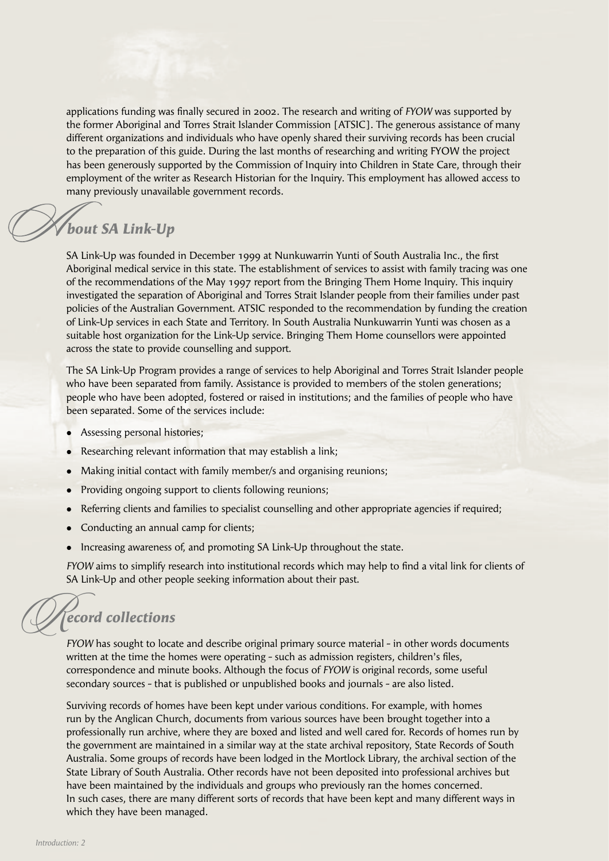applications funding was finally secured in 2002. The research and writing of *FYOW* was supported by the former Aboriginal and Torres Strait Islander Commission [ATSIC]. The generous assistance of many different organizations and individuals who have openly shared their surviving records has been crucial to the preparation of this guide. During the last months of researching and writing FYOW the project has been generously supported by the Commission of Inquiry into Children in State Care, through their employment of the writer as Research Historian for the Inquiry. This employment has allowed access to many previously unavailable government records.

#### *bout SA Link-Up*

SA Link-Up was founded in December 1999 at Nunkuwarrin Yunti of South Australia Inc., the first Aboriginal medical service in this state. The establishment of services to assist with family tracing was one of the recommendations of the May 1997 report from the Bringing Them Home Inquiry. This inquiry investigated the separation of Aboriginal and Torres Strait Islander people from their families under past policies of the Australian Government. ATSIC responded to the recommendation by funding the creation of Link-Up services in each State and Territory. In South Australia Nunkuwarrin Yunti was chosen as a suitable host organization for the Link-Up service. Bringing Them Home counsellors were appointed across the state to provide counselling and support.

The SA Link-Up Program provides a range of services to help Aboriginal and Torres Strait Islander people who have been separated from family. Assistance is provided to members of the stolen generations; people who have been adopted, fostered or raised in institutions; and the families of people who have been separated. Some of the services include:

- Assessing personal histories;
- Researching relevant information that may establish a link;
- Making initial contact with family member/s and organising reunions;
- Providing ongoing support to clients following reunions;
- Referring clients and families to specialist counselling and other appropriate agencies if required;
- Conducting an annual camp for clients;
- Increasing awareness of, and promoting SA Link-Up throughout the state.

*FYOW* aims to simplify research into institutional records which may help to find a vital link for clients of SA Link-Up and other people seeking information about their past.

*ecord collections*  $\mathscr{A}$ 

*FYOW* has sought to locate and describe original primary source material - in other words documents written at the time the homes were operating - such as admission registers, children's files, correspondence and minute books. Although the focus of *FYOW* is original records, some useful secondary sources - that is published or unpublished books and journals - are also listed.

Surviving records of homes have been kept under various conditions. For example, with homes run by the Anglican Church, documents from various sources have been brought together into a professionally run archive, where they are boxed and listed and well cared for. Records of homes run by the government are maintained in a similar way at the state archival repository, State Records of South Australia. Some groups of records have been lodged in the Mortlock Library, the archival section of the State Library of South Australia. Other records have not been deposited into professional archives but have been maintained by the individuals and groups who previously ran the homes concerned. In such cases, there are many different sorts of records that have been kept and many different ways in which they have been managed.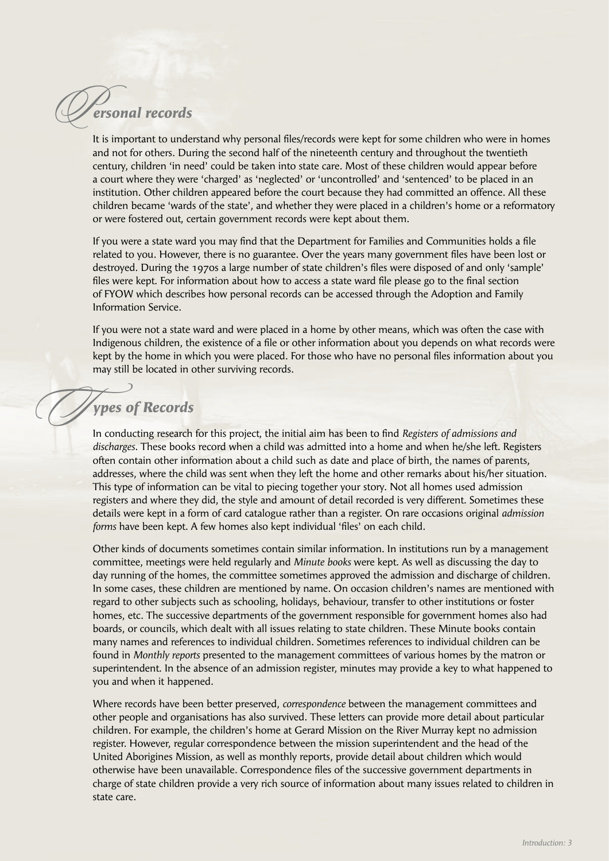### *ersonal records*   $Q$

It is important to understand why personal files/records were kept for some children who were in homes and not for others. During the second half of the nineteenth century and throughout the twentieth century, children 'in need' could be taken into state care. Most of these children would appear before a court where they were 'charged' as 'neglected' or 'uncontrolled' and 'sentenced' to be placed in an institution. Other children appeared before the court because they had committed an offence. All these children became 'wards of the state', and whether they were placed in a children's home or a reformatory or were fostered out, certain government records were kept about them.

If you were a state ward you may find that the Department for Families and Communities holds a file related to you. However, there is no guarantee. Over the years many government files have been lost or destroyed. During the 1970s a large number of state children's files were disposed of and only 'sample' files were kept. For information about how to access a state ward file please go to the final section of FYOW which describes how personal records can be accessed through the Adoption and Family Information Service.

If you were not a state ward and were placed in a home by other means, which was often the case with Indigenous children, the existence of a file or other information about you depends on what records were kept by the home in which you were placed. For those who have no personal files information about you may still be located in other surviving records.

#### *ypes of Records*

 $\overline{O}$ 

In conducting research for this project, the initial aim has been to find *Registers of admissions and discharges*. These books record when a child was admitted into a home and when he/she left. Registers often contain other information about a child such as date and place of birth, the names of parents, addresses, where the child was sent when they left the home and other remarks about his/her situation. This type of information can be vital to piecing together your story. Not all homes used admission registers and where they did, the style and amount of detail recorded is very different. Sometimes these details were kept in a form of card catalogue rather than a register. On rare occasions original *admission forms* have been kept. A few homes also kept individual 'files' on each child.

Other kinds of documents sometimes contain similar information. In institutions run by a management committee, meetings were held regularly and *Minute books* were kept. As well as discussing the day to day running of the homes, the committee sometimes approved the admission and discharge of children. In some cases, these children are mentioned by name. On occasion children's names are mentioned with regard to other subjects such as schooling, holidays, behaviour, transfer to other institutions or foster homes, etc. The successive departments of the government responsible for government homes also had boards, or councils, which dealt with all issues relating to state children. These Minute books contain many names and references to individual children. Sometimes references to individual children can be found in *Monthly reports* presented to the management committees of various homes by the matron or superintendent. In the absence of an admission register, minutes may provide a key to what happened to you and when it happened.

Where records have been better preserved, *correspondence* between the management committees and other people and organisations has also survived. These letters can provide more detail about particular children. For example, the children's home at Gerard Mission on the River Murray kept no admission register. However, regular correspondence between the mission superintendent and the head of the United Aborigines Mission, as well as monthly reports, provide detail about children which would otherwise have been unavailable. Correspondence files of the successive government departments in charge of state children provide a very rich source of information about many issues related to children in state care.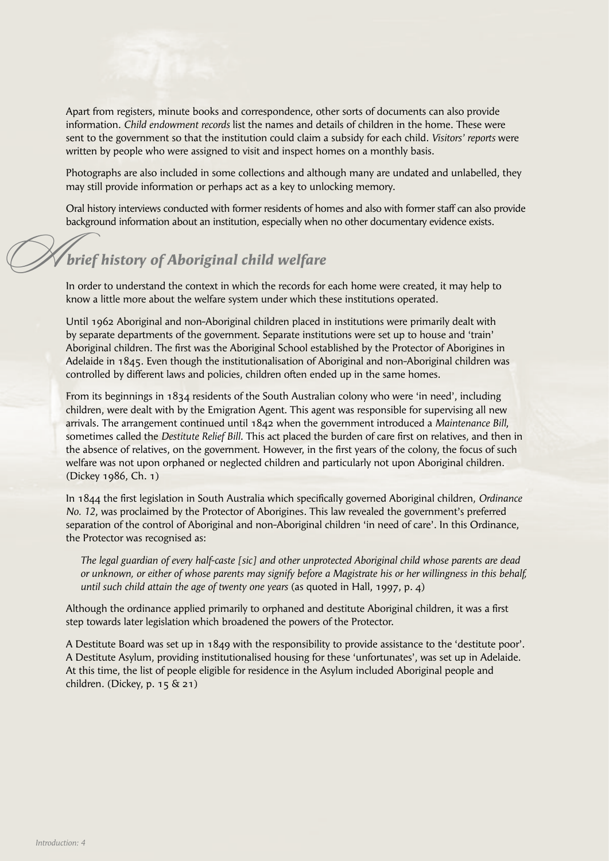Apart from registers, minute books and correspondence, other sorts of documents can also provide information. *Child endowment records* list the names and details of children in the home. These were sent to the government so that the institution could claim a subsidy for each child. *Visitors' reports* were written by people who were assigned to visit and inspect homes on a monthly basis.

Photographs are also included in some collections and although many are undated and unlabelled, they may still provide information or perhaps act as a key to unlocking memory.

Oral history interviews conducted with former residents of homes and also with former staff can also provide background information about an institution, especially when no other documentary evidence exists.

### *brief history of Aboriginal child welfare*  $\oslash$

In order to understand the context in which the records for each home were created, it may help to know a little more about the welfare system under which these institutions operated.

Until 1962 Aboriginal and non-Aboriginal children placed in institutions were primarily dealt with by separate departments of the government. Separate institutions were set up to house and 'train' Aboriginal children. The first was the Aboriginal School established by the Protector of Aborigines in Adelaide in 1845. Even though the institutionalisation of Aboriginal and non-Aboriginal children was controlled by different laws and policies, children often ended up in the same homes.

From its beginnings in 1834 residents of the South Australian colony who were 'in need', including children, were dealt with by the Emigration Agent. This agent was responsible for supervising all new arrivals. The arrangement continued until 1842 when the government introduced a *Maintenance Bill*, sometimes called the *Destitute Relief Bill*. This act placed the burden of care first on relatives, and then in the absence of relatives, on the government. However, in the first years of the colony, the focus of such welfare was not upon orphaned or neglected children and particularly not upon Aboriginal children. (Dickey 1986, Ch. 1)

In 1844 the first legislation in South Australia which specifically governed Aboriginal children, *Ordinance No. 12*, was proclaimed by the Protector of Aborigines. This law revealed the government's preferred separation of the control of Aboriginal and non-Aboriginal children 'in need of care'. In this Ordinance, the Protector was recognised as:

 *The legal guardian of every half-caste [sic] and other unprotected Aboriginal child whose parents are dead or unknown, or either of whose parents may signify before a Magistrate his or her willingness in this behalf, until such child attain the age of twenty one years* (as quoted in Hall, 1997, p. 4)

Although the ordinance applied primarily to orphaned and destitute Aboriginal children, it was a first step towards later legislation which broadened the powers of the Protector.

A Destitute Board was set up in 1849 with the responsibility to provide assistance to the 'destitute poor'. A Destitute Asylum, providing institutionalised housing for these 'unfortunates', was set up in Adelaide. At this time, the list of people eligible for residence in the Asylum included Aboriginal people and children. (Dickey, p. 15 & 21)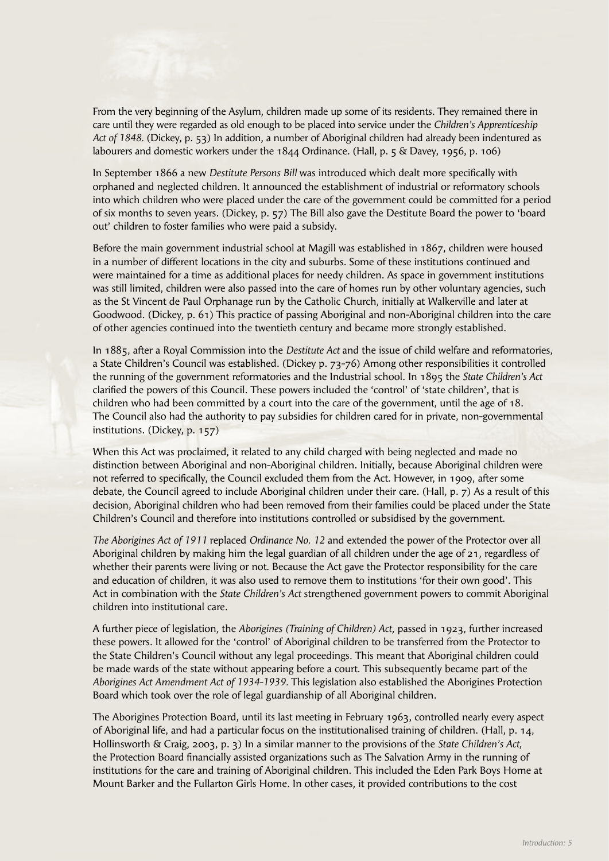From the very beginning of the Asylum, children made up some of its residents. They remained there in care until they were regarded as old enough to be placed into service under the *Children's Apprenticeship Act of 1848.* (Dickey, p. 53) In addition, a number of Aboriginal children had already been indentured as labourers and domestic workers under the 1844 Ordinance. (Hall, p. 5 & Davey, 1956, p. 106)

In September 1866 a new *Destitute Persons Bill* was introduced which dealt more specifically with orphaned and neglected children. It announced the establishment of industrial or reformatory schools into which children who were placed under the care of the government could be committed for a period of six months to seven years. (Dickey, p. 57) The Bill also gave the Destitute Board the power to 'board out' children to foster families who were paid a subsidy.

Before the main government industrial school at Magill was established in 1867, children were housed in a number of different locations in the city and suburbs. Some of these institutions continued and were maintained for a time as additional places for needy children. As space in government institutions was still limited, children were also passed into the care of homes run by other voluntary agencies, such as the St Vincent de Paul Orphanage run by the Catholic Church, initially at Walkerville and later at Goodwood. (Dickey, p. 61) This practice of passing Aboriginal and non-Aboriginal children into the care of other agencies continued into the twentieth century and became more strongly established.

In 1885, after a Royal Commission into the *Destitute Act* and the issue of child welfare and reformatories, a State Children's Council was established. (Dickey p. 73-76) Among other responsibilities it controlled the running of the government reformatories and the Industrial school. In 1895 the *State Children's Act* clarified the powers of this Council. These powers included the 'control' of 'state children', that is children who had been committed by a court into the care of the government, until the age of 18. The Council also had the authority to pay subsidies for children cared for in private, non-governmental institutions. (Dickey, p. 157)

When this Act was proclaimed, it related to any child charged with being neglected and made no distinction between Aboriginal and non-Aboriginal children. Initially, because Aboriginal children were not referred to specifically, the Council excluded them from the Act. However, in 1909, after some debate, the Council agreed to include Aboriginal children under their care. (Hall, p. 7) As a result of this decision, Aboriginal children who had been removed from their families could be placed under the State Children's Council and therefore into institutions controlled or subsidised by the government.

*The Aborigines Act of 1911* replaced *Ordinance No. 12* and extended the power of the Protector over all Aboriginal children by making him the legal guardian of all children under the age of 21, regardless of whether their parents were living or not. Because the Act gave the Protector responsibility for the care and education of children, it was also used to remove them to institutions 'for their own good'. This Act in combination with the *State Children's Act* strengthened government powers to commit Aboriginal children into institutional care.

A further piece of legislation, the *Aborigines (Training of Children) Act*, passed in 1923, further increased these powers. It allowed for the 'control' of Aboriginal children to be transferred from the Protector to the State Children's Council without any legal proceedings. This meant that Aboriginal children could be made wards of the state without appearing before a court. This subsequently became part of the *Aborigines Act Amendment Act of 1934-1939.* This legislation also established the Aborigines Protection Board which took over the role of legal guardianship of all Aboriginal children.

The Aborigines Protection Board, until its last meeting in February 1963, controlled nearly every aspect of Aboriginal life, and had a particular focus on the institutionalised training of children. (Hall, p. 14, Hollinsworth & Craig, 2003, p. 3) In a similar manner to the provisions of the *State Children's Act*, the Protection Board financially assisted organizations such as The Salvation Army in the running of institutions for the care and training of Aboriginal children. This included the Eden Park Boys Home at Mount Barker and the Fullarton Girls Home. In other cases, it provided contributions to the cost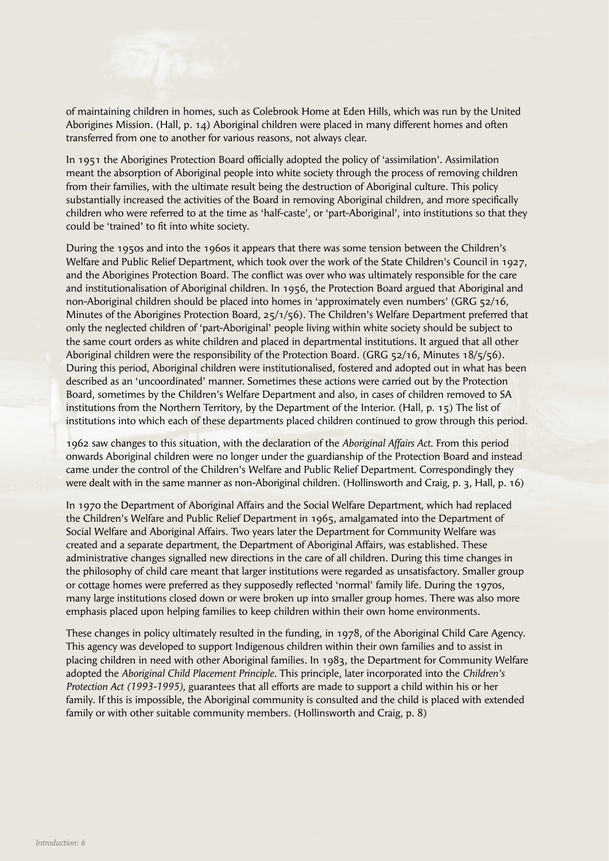of maintaining children in homes, such as Colebrook Home at Eden Hills, which was run by the United Aborigines Mission. (Hall, p. 14) Aboriginal children were placed in many different homes and often transferred from one to another for various reasons, not always clear.

In 1951 the Aborigines Protection Board officially adopted the policy of 'assimilation'. Assimilation meant the absorption of Aboriginal people into white society through the process of removing children from their families, with the ultimate result being the destruction of Aboriginal culture. This policy substantially increased the activities of the Board in removing Aboriginal children, and more specifically children who were referred to at the time as 'half-caste', or 'part-Aboriginal', into institutions so that they could be 'trained' to fit into white society.

During the 1950s and into the 1960s it appears that there was some tension between the Children's Welfare and Public Relief Department, which took over the work of the State Children's Council in 1927, and the Aborigines Protection Board. The conflict was over who was ultimately responsible for the care and institutionalisation of Aboriginal children. In 1956, the Protection Board argued that Aboriginal and non-Aboriginal children should be placed into homes in 'approximately even numbers' (GRG 52/16, Minutes of the Aborigines Protection Board, 25/1/56). The Children's Welfare Department preferred that only the neglected children of 'part-Aboriginal' people living within white society should be subject to the same court orders as white children and placed in departmental institutions. It argued that all other Aboriginal children were the responsibility of the Protection Board. (GRG 52/16, Minutes 18/5/56). During this period, Aboriginal children were institutionalised, fostered and adopted out in what has been described as an 'uncoordinated' manner. Sometimes these actions were carried out by the Protection Board, sometimes by the Children's Welfare Department and also, in cases of children removed to SA institutions from the Northern Territory, by the Department of the Interior. (Hall, p. 15) The list of institutions into which each of these departments placed children continued to grow through this period.

1962 saw changes to this situation, with the declaration of the *Aboriginal Affairs Act*. From this period onwards Aboriginal children were no longer under the guardianship of the Protection Board and instead came under the control of the Children's Welfare and Public Relief Department. Correspondingly they were dealt with in the same manner as non-Aboriginal children. (Hollinsworth and Craig, p. 3, Hall, p. 16)

In 1970 the Department of Aboriginal Affairs and the Social Welfare Department, which had replaced the Children's Welfare and Public Relief Department in 1965, amalgamated into the Department of Social Welfare and Aboriginal Affairs. Two years later the Department for Community Welfare was created and a separate department, the Department of Aboriginal Affairs, was established. These administrative changes signalled new directions in the care of all children. During this time changes in the philosophy of child care meant that larger institutions were regarded as unsatisfactory. Smaller group or cottage homes were preferred as they supposedly reflected 'normal' family life. During the 1970s, many large institutions closed down or were broken up into smaller group homes. There was also more emphasis placed upon helping families to keep children within their own home environments.

These changes in policy ultimately resulted in the funding, in 1978, of the Aboriginal Child Care Agency. This agency was developed to support Indigenous children within their own families and to assist in placing children in need with other Aboriginal families. In 1983, the Department for Community Welfare adopted the *Aboriginal Child Placement Principle*. This principle, later incorporated into the *Children's Protection Act (1993-1995)*, guarantees that all efforts are made to support a child within his or her family. If this is impossible, the Aboriginal community is consulted and the child is placed with extended family or with other suitable community members. (Hollinsworth and Craig, p. 8)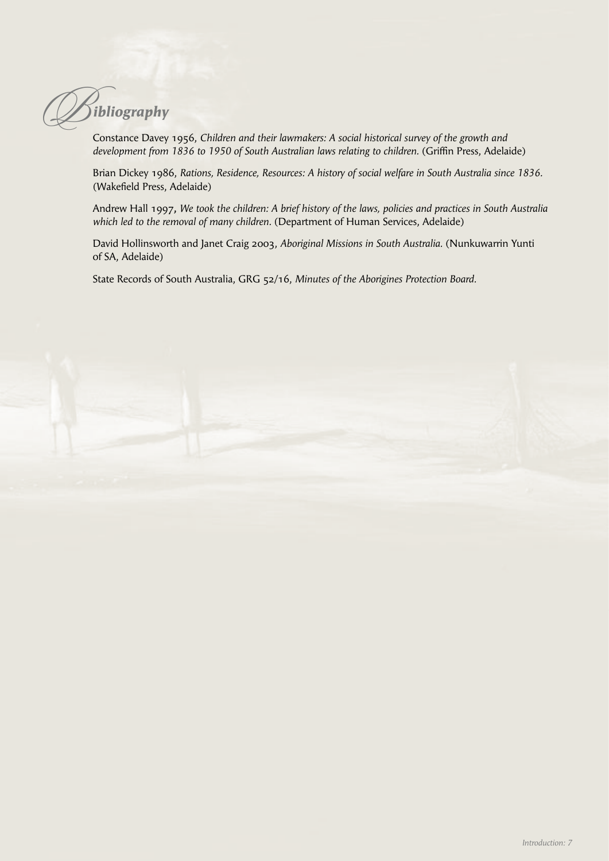*ibliography*  $\oslash$ 

Constance Davey 1956, *Children and their lawmakers: A social historical survey of the growth and development from 1836 to 1950 of South Australian laws relating to children.* (Griffin Press, Adelaide)

Brian Dickey 1986, *Rations, Residence, Resources: A history of social welfare in South Australia since 1836.* (Wakefield Press, Adelaide)

Andrew Hall 1997**,** *We took the children: A brief history of the laws, policies and practices in South Australia which led to the removal of many children.* (Department of Human Services, Adelaide)

David Hollinsworth and Janet Craig 2003, *Aboriginal Missions in South Australia.* (Nunkuwarrin Yunti of SA, Adelaide)

State Records of South Australia, GRG 52/16, *Minutes of the Aborigines Protection Board.*